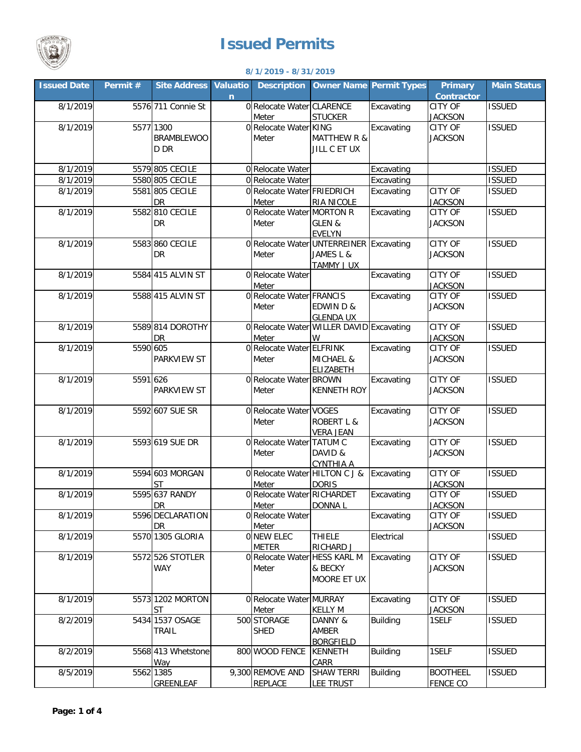

## **Issued Permits**

## **8/1/2019 - 8/31/2019**

| <b>Issued Date</b> | Permit#  | <b>Site Address</b>                    | <b>Valuatio</b><br>$\mathbf n$ | <b>Description</b>                     |                                                                           | <b>Owner Name Permit Types</b> | <b>Primary</b><br><b>Contractor</b> | <b>Main Status</b> |
|--------------------|----------|----------------------------------------|--------------------------------|----------------------------------------|---------------------------------------------------------------------------|--------------------------------|-------------------------------------|--------------------|
| 8/1/2019           |          | 5576 711 Connie St                     |                                | 0 Relocate Water CLARENCE<br>Meter     | <b>STUCKER</b>                                                            | Excavating                     | <b>CITY OF</b><br><b>JACKSON</b>    | <b>ISSUED</b>      |
| 8/1/2019           |          | 5577 1300<br><b>BRAMBLEWOO</b><br>D DR |                                | 0 Relocate Water KING<br>Meter         | <b>MATTHEW R &amp;</b><br>JILL C ET UX                                    | Excavating                     | <b>CITY OF</b><br><b>JACKSON</b>    | <b>ISSUED</b>      |
| 8/1/2019           |          | 5579 805 CECILE                        |                                | 0 Relocate Water                       |                                                                           | Excavating                     |                                     | <b>ISSUED</b>      |
| 8/1/2019           |          | 5580 805 CECILE                        |                                | 0 Relocate Water                       |                                                                           | Excavating                     |                                     | <b>ISSUED</b>      |
| 8/1/2019           |          | 5581 805 CECILE<br><b>DR</b>           |                                | 0 Relocate Water FRIEDRICH<br>Meter    | <b>RIA NICOLE</b>                                                         | Excavating                     | <b>CITY OF</b><br><b>JACKSON</b>    | <b>ISSUED</b>      |
| 8/1/2019           |          | 5582 810 CECILE<br>DR                  |                                | 0 Relocate Water MORTON R<br>Meter     | GLEN &<br><b>EVELYN</b>                                                   | Excavating                     | <b>CITY OF</b><br><b>JACKSON</b>    | <b>ISSUED</b>      |
| 8/1/2019           |          | 5583 860 CECILE<br><b>DR</b>           |                                | Meter                                  | 0 Relocate Water UNTERREINER Excavating<br>JAMES L &<br><b>TAMMY J UX</b> |                                | <b>CITY OF</b><br><b>JACKSON</b>    | <b>ISSUED</b>      |
| 8/1/2019           |          | 5584 415 ALVIN ST                      |                                | 0 Relocate Water<br>Meter              |                                                                           | Excavating                     | <b>CITY OF</b><br><b>JACKSON</b>    | <b>ISSUED</b>      |
| 8/1/2019           |          | 5588 415 ALVIN ST                      |                                | 0 Relocate Water FRANCIS<br>Meter      | <b>EDWIND&amp;</b><br><b>GLENDA UX</b>                                    | Excavating                     | <b>CITY OF</b><br><b>JACKSON</b>    | <b>ISSUED</b>      |
| 8/1/2019           |          | 5589 814 DOROTHY<br>DR                 |                                | Meter                                  | 0 Relocate Water WILLER DAVID Excavating<br>W                             |                                | <b>CITY OF</b><br><b>JACKSON</b>    | <b>ISSUED</b>      |
| 8/1/2019           | 5590 605 | PARKVIEW ST                            |                                | 0 Relocate Water ELFRINK<br>Meter      | MICHAEL &<br><b>ELIZABETH</b>                                             | Excavating                     | <b>CITY OF</b><br><b>JACKSON</b>    | <b>ISSUED</b>      |
| 8/1/2019           | 5591 626 | <b>PARKVIEW ST</b>                     |                                | 0 Relocate Water BROWN<br>Meter        | <b>KENNETH ROY</b>                                                        | Excavating                     | <b>CITY OF</b><br><b>JACKSON</b>    | <b>ISSUED</b>      |
| 8/1/2019           |          | 5592 607 SUE SR                        |                                | 0 Relocate Water VOGES<br>Meter        | <b>ROBERT L &amp;</b><br><b>VERA JEAN</b>                                 | Excavating                     | <b>CITY OF</b><br><b>JACKSON</b>    | <b>ISSUED</b>      |
| 8/1/2019           |          | 5593 619 SUE DR                        |                                | 0 Relocate Water TATUM C<br>Meter      | DAVID &<br><b>CYNTHIA A</b>                                               | Excavating                     | <b>CITY OF</b><br><b>JACKSON</b>    | <b>ISSUED</b>      |
| 8/1/2019           |          | 5594 603 MORGAN<br><b>ST</b>           |                                | 0 Relocate Water HILTON C J &<br>Meter | <b>DORIS</b>                                                              | Excavating                     | <b>CITY OF</b><br><b>JACKSON</b>    | <b>ISSUED</b>      |
| 8/1/2019           |          | 5595 637 RANDY<br>DR                   |                                | 0 Relocate Water RICHARDET<br>Meter    | DONNA L                                                                   | Excavating                     | CITY OF<br><b>JACKSON</b>           | <b>ISSUED</b>      |
| 8/1/2019           |          | 5596 DECLARATION<br>DR                 |                                | 0 Relocate Water<br>Meter              |                                                                           | Excavating                     | <b>CITY OF</b><br><b>JACKSON</b>    | <b>ISSUED</b>      |
| 8/1/2019           |          | 5570 1305 GLORIA                       |                                | 0 NEW ELEC<br><b>METER</b>             | <b>THIELE</b><br>RICHARD J                                                | Electrical                     |                                     | <b>ISSUED</b>      |
| 8/1/2019           |          | 5572 526 STOTLER<br><b>WAY</b>         |                                | 0 Relocate Water HESS KARL M<br>Meter  | & BECKY<br>MOORE ET UX                                                    | Excavating                     | <b>CITY OF</b><br><b>JACKSON</b>    | <b>ISSUED</b>      |
| 8/1/2019           |          | 5573 1202 MORTON<br><b>ST</b>          |                                | 0 Relocate Water MURRAY<br>Meter       | <b>KELLY M</b>                                                            | Excavating                     | <b>CITY OF</b><br><b>JACKSON</b>    | <b>ISSUED</b>      |
| 8/2/2019           |          | 5434 1537 OSAGE<br>TRAIL               |                                | 500 STORAGE<br><b>SHED</b>             | DANNY &<br>AMBER<br><b>BORGFIELD</b>                                      | <b>Building</b>                | 1SELF                               | <b>ISSUED</b>      |
| 8/2/2019           |          | 5568 413 Whetstone<br>Way              |                                | 800 WOOD FENCE                         | KENNETH<br>CARR                                                           | <b>Building</b>                | 1SELF                               | <b>ISSUED</b>      |
| 8/5/2019           |          | 5562 1385<br><b>GREENLEAF</b>          |                                | 9,300 REMOVE AND<br><b>REPLACE</b>     | <b>SHAW TERRI</b><br>LEE TRUST                                            | Building                       | <b>BOOTHEEL</b><br><b>FENCE CO</b>  | <b>ISSUED</b>      |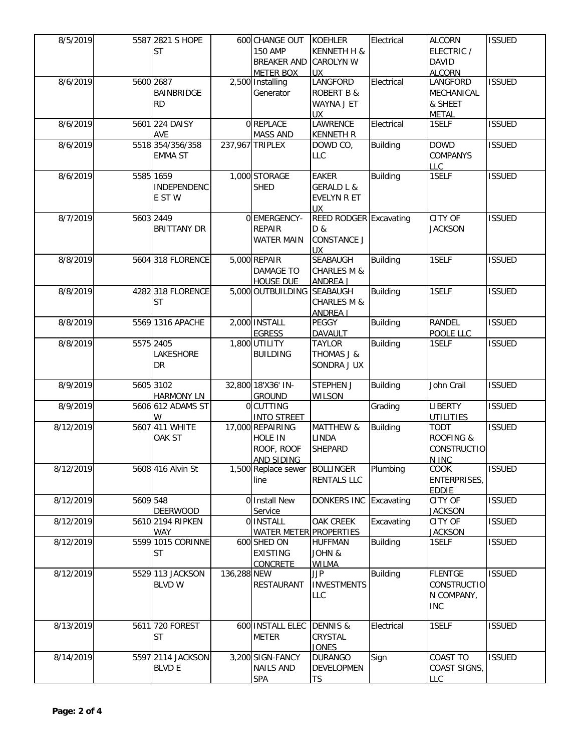| 8/5/2019  |           | 5587 2821 S HOPE   |             | 600 CHANGE OUT         | <b>KOEHLER</b>               | Electrical      | <b>ALCORN</b>        | <b>ISSUED</b> |
|-----------|-----------|--------------------|-------------|------------------------|------------------------------|-----------------|----------------------|---------------|
|           |           | <b>ST</b>          |             | <b>150 AMP</b>         | KENNETH H &                  |                 | ELECTRIC /           |               |
|           |           |                    |             | <b>BREAKER AND</b>     | <b>CAROLYN W</b>             |                 | <b>DAVID</b>         |               |
|           |           |                    |             | <b>METER BOX</b>       | <b>UX</b>                    |                 | <b>ALCORN</b>        |               |
| 8/6/2019  |           | 5600 2687          |             | 2,500 Installing       | LANGFORD                     | Electrical      | LANGFORD             | <b>ISSUED</b> |
|           |           | BAINBRIDGE         |             | Generator              | <b>ROBERT B &amp;</b>        |                 | MECHANICAL           |               |
|           |           |                    |             |                        | WAYNA J ET                   |                 |                      |               |
|           |           | RD.                |             |                        |                              |                 | & SHEET              |               |
|           |           |                    |             |                        | UX.                          |                 | <b>METAL</b>         |               |
| 8/6/2019  |           | 5601 224 DAISY     |             | 0 REPLACE              | LAWRENCE                     | Electrical      | 1SELF                | <b>ISSUED</b> |
|           |           | <b>AVE</b>         |             | <b>MASS AND</b>        | <b>KENNETH R</b>             |                 |                      |               |
| 8/6/2019  |           | 5518 354/356/358   |             | 237,967 TRIPLEX        | DOWD CO,                     | <b>Building</b> | <b>DOWD</b>          | <b>ISSUED</b> |
|           |           | <b>EMMA ST</b>     |             |                        | LLC                          |                 | COMPANYS             |               |
|           |           |                    |             |                        |                              |                 | <b>LLC</b>           |               |
| 8/6/2019  |           | 5585 1659          |             | 1,000 STORAGE          | EAKER                        | <b>Building</b> | 1SELF                | <b>ISSUED</b> |
|           |           | INDEPENDENC        |             | <b>SHED</b>            | <b>GERALD L &amp;</b>        |                 |                      |               |
|           |           | E ST W             |             |                        | EVELYN R ET                  |                 |                      |               |
|           |           |                    |             |                        | <b>UX</b>                    |                 |                      |               |
| 8/7/2019  | 5603 2449 |                    |             | 0 EMERGENCY-           | REED RODGER Excavating       |                 | CITY OF              | <b>ISSUED</b> |
|           |           | <b>BRITTANY DR</b> |             | <b>REPAIR</b>          | D &                          |                 | <b>JACKSON</b>       |               |
|           |           |                    |             | <b>WATER MAIN</b>      | <b>CONSTANCE J</b>           |                 |                      |               |
|           |           |                    |             |                        |                              |                 |                      |               |
|           |           |                    |             | 5,000 REPAIR           | <b>UX</b><br><b>SEABAUGH</b> |                 | 1SELF                | <b>ISSUED</b> |
| 8/8/2019  |           | 5604 318 FLORENCE  |             |                        |                              | <b>Building</b> |                      |               |
|           |           |                    |             | <b>DAMAGE TO</b>       | <b>CHARLES M &amp;</b>       |                 |                      |               |
|           |           |                    |             | <b>HOUSE DUE</b>       | <b>ANDREA J</b>              |                 |                      |               |
| 8/8/2019  |           | 4282 318 FLORENCE  |             | 5,000 OUTBUILDING      | <b>SEABAUGH</b>              | Building        | 1SELF                | <b>ISSUED</b> |
|           |           | <b>ST</b>          |             |                        | <b>CHARLES M &amp;</b>       |                 |                      |               |
|           |           |                    |             |                        | <b>ANDREA J</b>              |                 |                      |               |
| 8/8/2019  |           | 5569 1316 APACHE   |             | 2,000 INSTALL          | <b>PEGGY</b>                 | <b>Building</b> | <b>RANDEL</b>        | <b>ISSUED</b> |
|           |           |                    |             | <b>EGRESS</b>          | DAVAULT                      |                 | POOLE LLC            |               |
| 8/8/2019  |           | 5575 2405          |             | 1,800 UTILITY          | <b>TAYLOR</b>                | <b>Building</b> | 1SELF                | <b>ISSUED</b> |
|           |           | LAKESHORE          |             | <b>BUILDING</b>        | THOMAS J &                   |                 |                      |               |
|           |           |                    |             |                        |                              |                 |                      |               |
|           |           | DR                 |             |                        | SONDRA J UX                  |                 |                      |               |
|           |           |                    |             |                        |                              |                 |                      |               |
| 8/9/2019  |           | 5605 3102          |             | 32,800 18'X36' IN-     | <b>STEPHEN J</b>             | <b>Building</b> | John Crail           | <b>ISSUED</b> |
|           |           | <b>HARMONY LN</b>  |             | <b>GROUND</b>          | <b>WILSON</b>                |                 |                      |               |
| 8/9/2019  |           | 5606 612 ADAMS ST  |             | 0 CUTTING              |                              | Grading         | <b>LIBERTY</b>       | <b>ISSUED</b> |
|           |           | W                  |             | <b>INTO STREET</b>     |                              |                 | <b>UTILITIES</b>     |               |
| 8/12/2019 |           | 5607 411 WHITE     |             | 17,000 REPAIRING       | <b>MATTHEW &amp;</b>         | <b>Building</b> | <b>TODT</b>          | <b>ISSUED</b> |
|           |           | OAK ST             |             | HOLE IN                | <b>LINDA</b>                 |                 | <b>ROOFING &amp;</b> |               |
|           |           |                    |             | ROOF, ROOF             | <b>SHEPARD</b>               |                 | CONSTRUCTIO          |               |
|           |           |                    |             | AND SIDING             |                              |                 | N INC                |               |
| 8/12/2019 |           | 5608 416 Alvin St  |             | 1,500 Replace sewer    | <b>BOLLINGER</b>             | Plumbing        | COOK                 | <b>ISSUED</b> |
|           |           |                    |             | line                   | <b>RENTALS LLC</b>           |                 | ENTERPRISES,         |               |
|           |           |                    |             |                        |                              |                 |                      |               |
|           |           |                    |             |                        |                              |                 | EDDIE                |               |
| 8/12/2019 | 5609 548  |                    |             | 0 Install New          | DONKERS INC Excavating       |                 | CITY OF              | <b>ISSUED</b> |
|           |           | <b>DEERWOOD</b>    |             | Service                |                              |                 | <b>JACKSON</b>       |               |
| 8/12/2019 |           | 5610 2194 RIPKEN   |             | 0 INSTALL              | <b>OAK CREEK</b>             | Excavating      | CITY OF              | <b>ISSUED</b> |
|           |           | WAY                |             | WATER METER PROPERTIES |                              |                 | <b>JACKSON</b>       |               |
| 8/12/2019 |           | 5599 1015 CORINNE  |             | 600 SHED ON            | <b>HUFFMAN</b>               | <b>Building</b> | 1SELF                | <b>ISSUED</b> |
|           |           | ST                 |             | <b>EXISTING</b>        | JOHN &                       |                 |                      |               |
|           |           |                    |             | <b>CONCRETE</b>        | <b>WILMA</b>                 |                 |                      |               |
| 8/12/2019 |           | 5529 113 JACKSON   | 136,288 NEW |                        | <b>JJP</b>                   | <b>Building</b> | <b>FLENTGE</b>       | <b>ISSUED</b> |
|           |           | <b>BLVD W</b>      |             | RESTAURANT             | <b>INVESTMENTS</b>           |                 | <b>CONSTRUCTIO</b>   |               |
|           |           |                    |             |                        | <b>LLC</b>                   |                 | N COMPANY,           |               |
|           |           |                    |             |                        |                              |                 |                      |               |
|           |           |                    |             |                        |                              |                 | <b>INC</b>           |               |
|           |           |                    |             |                        |                              |                 |                      |               |
| 8/13/2019 |           | 5611 720 FOREST    |             | 600 INSTALL ELEC       | <b>DENNIS &amp;</b>          | Electrical      | 1SELF                | <b>ISSUED</b> |
|           |           | <b>ST</b>          |             | <b>METER</b>           | CRYSTAL                      |                 |                      |               |
|           |           |                    |             |                        | <b>JONES</b>                 |                 |                      |               |
| 8/14/2019 |           | 5597 2114 JACKSON  |             | 3,200 SIGN-FANCY       | <b>DURANGO</b>               | Sign            | COAST TO             | <b>ISSUED</b> |
|           |           | <b>BLVD E</b>      |             | <b>NAILS AND</b>       | DEVELOPMEN                   |                 | COAST SIGNS,         |               |
|           |           |                    |             | <b>SPA</b>             | <b>TS</b>                    |                 | <b>LLC</b>           |               |
|           |           |                    |             |                        |                              |                 |                      |               |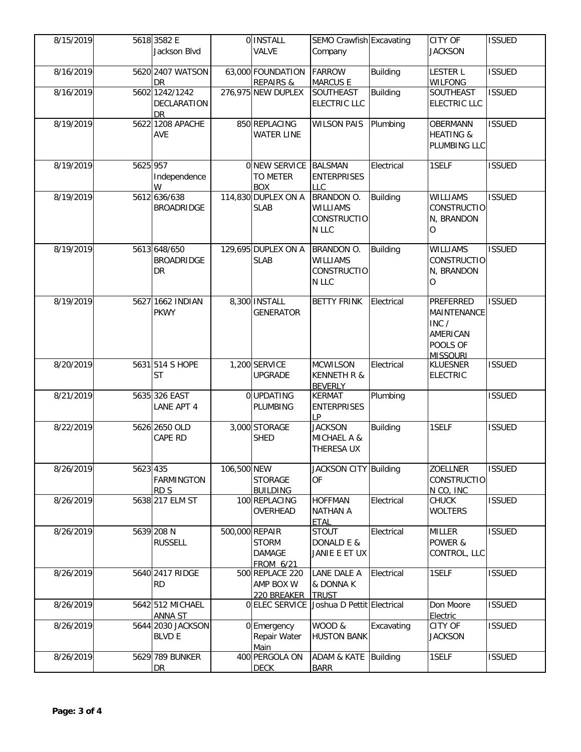| 8/15/2019 |          | 5618 3582 E<br>Jackson Blvd                |             | 0 INSTALL<br>VALVE                                                  | SEMO Crawfish Excavating<br>Company                                 |                 | <b>CITY OF</b><br><b>JACKSON</b>                                                    | <b>ISSUED</b> |
|-----------|----------|--------------------------------------------|-------------|---------------------------------------------------------------------|---------------------------------------------------------------------|-----------------|-------------------------------------------------------------------------------------|---------------|
| 8/16/2019 |          | 5620 2407 WATSON<br><b>DR</b>              |             | 63,000 FOUNDATION<br><b>REPAIRS &amp;</b>                           | <b>FARROW</b><br><b>MARCUS E</b>                                    | <b>Building</b> | <b>LESTER L</b><br><b>WILFONG</b>                                                   | <b>ISSUED</b> |
| 8/16/2019 |          | 5602 1242/1242<br>DECLARATION<br><b>DR</b> |             | 276,975 NEW DUPLEX                                                  | SOUTHEAST<br><b>ELECTRIC LLC</b>                                    | <b>Building</b> | <b>SOUTHEAST</b><br><b>ELECTRIC LLC</b>                                             | <b>ISSUED</b> |
| 8/19/2019 |          | 5622 1208 APACHE<br>AVE                    |             | 850 REPLACING<br><b>WATER LINE</b>                                  | <b>WILSON PAIS</b>                                                  | Plumbing        | <b>OBERMANN</b><br><b>HEATING &amp;</b><br>PLUMBING LLC                             | <b>ISSUED</b> |
| 8/19/2019 | 5625 957 | Independence<br>W                          |             | <b>ONEW SERVICE</b><br><b>TO METER</b><br><b>BOX</b>                | <b>BALSMAN</b><br><b>ENTERPRISES</b><br>LLC                         | Electrical      | 1SELF                                                                               | <b>ISSUED</b> |
| 8/19/2019 |          | 5612 636/638<br><b>BROADRIDGE</b>          |             | 114,830 DUPLEX ON A<br><b>SLAB</b>                                  | <b>BRANDON O.</b><br><b>WILLIAMS</b><br><b>CONSTRUCTIO</b><br>N LLC | <b>Building</b> | <b>WILLIAMS</b><br><b>CONSTRUCTIO</b><br>N, BRANDON<br>$\Omega$                     | <b>ISSUED</b> |
| 8/19/2019 |          | 5613 648/650<br><b>BROADRIDGE</b><br>DR    |             | 129,695 DUPLEX ON A<br><b>SLAB</b>                                  | BRANDON O.<br><b>WILLIAMS</b><br><b>CONSTRUCTIO</b><br>N LLC        | Building        | <b>WILLIAMS</b><br><b>CONSTRUCTIO</b><br>N, BRANDON<br>$\circ$                      | <b>ISSUED</b> |
| 8/19/2019 |          | 5627 1662 INDIAN<br><b>PKWY</b>            |             | 8,300 INSTALL<br><b>GENERATOR</b>                                   | <b>BETTY FRINK</b>                                                  | Electrical      | <b>PREFERRED</b><br>MAINTENANCE<br>INC /<br>AMERICAN<br>POOLS OF<br><b>MISSOURI</b> | <b>ISSUED</b> |
| 8/20/2019 |          | 5631 514 S HOPE<br><b>ST</b>               |             | 1,200 SERVICE<br><b>UPGRADE</b>                                     | <b>MCWILSON</b><br><b>KENNETH R &amp;</b><br><b>BEVERLY</b>         | Electrical      | <b>KLUESNER</b><br><b>ELECTRIC</b>                                                  | <b>ISSUED</b> |
| 8/21/2019 |          | 5635 326 EAST<br>LANE APT 4                |             | 0 UPDATING<br><b>PLUMBING</b>                                       | <b>KERMAT</b><br><b>ENTERPRISES</b><br>LP                           | Plumbing        |                                                                                     | <b>ISSUED</b> |
| 8/22/2019 |          | 5626 2650 OLD<br>CAPE RD                   |             | 3,000 STORAGE<br><b>SHED</b>                                        | <b>JACKSON</b><br>MICHAEL A &<br>THERESA UX                         | Building        | 1SELF                                                                               | <b>ISSUED</b> |
| 8/26/2019 | 5623 435 | <b>FARMINGTON</b><br>RD <sub>S</sub>       | 106,500 NEW | <b>STORAGE</b><br><b>BUILDING</b>                                   | <b>JACKSON CITY Building</b><br><b>OF</b>                           |                 | <b>ZOELLNER</b><br><b>CONSTRUCTIO</b><br>N CO, INC                                  | <b>ISSUED</b> |
| 8/26/2019 |          | 5638 217 ELM ST                            |             | 100 REPLACING<br>OVERHEAD                                           | <b>HOFFMAN</b><br><b>NATHAN A</b><br><b>ETAL</b>                    | Electrical      | <b>CHUCK</b><br><b>WOLTERS</b>                                                      | <b>ISSUED</b> |
| 8/26/2019 |          | 5639 208 N<br><b>RUSSELL</b>               |             | 500,000 REPAIR<br><b>STORM</b><br><b>DAMAGE</b><br><b>FROM 6/21</b> | <b>STOUT</b><br>DONALD E &<br>JANIE E ET UX                         | Electrical      | <b>MILLER</b><br>POWER &<br>CONTROL, LLC                                            | <b>ISSUED</b> |
| 8/26/2019 |          | 5640 2417 RIDGE<br><b>RD</b>               |             | 500 REPLACE 220<br>AMP BOX W<br>220 BREAKER                         | LANE DALE A<br>& DONNA K<br><b>TRUST</b>                            | Electrical      | 1SELF                                                                               | <b>ISSUED</b> |
| 8/26/2019 |          | 5642 512 MICHAEL<br>ANNA ST                |             | 0 ELEC SERVICE                                                      | Joshua D Pettit Electrical                                          |                 | Don Moore<br>Electric                                                               | <b>ISSUED</b> |
| 8/26/2019 |          | 5644 2030 JACKSON<br><b>BLVD E</b>         |             | 0 Emergency<br>Repair Water<br>Main                                 | WOOD &<br><b>HUSTON BANK</b>                                        | Excavating      | CITY OF<br><b>JACKSON</b>                                                           | <b>ISSUED</b> |
| 8/26/2019 |          | 5629 789 BUNKER<br>DR                      |             | 400 PERGOLA ON<br><b>DECK</b>                                       | ADAM & KATE<br><b>BARR</b>                                          | Building        | 1SELF                                                                               | <b>ISSUED</b> |